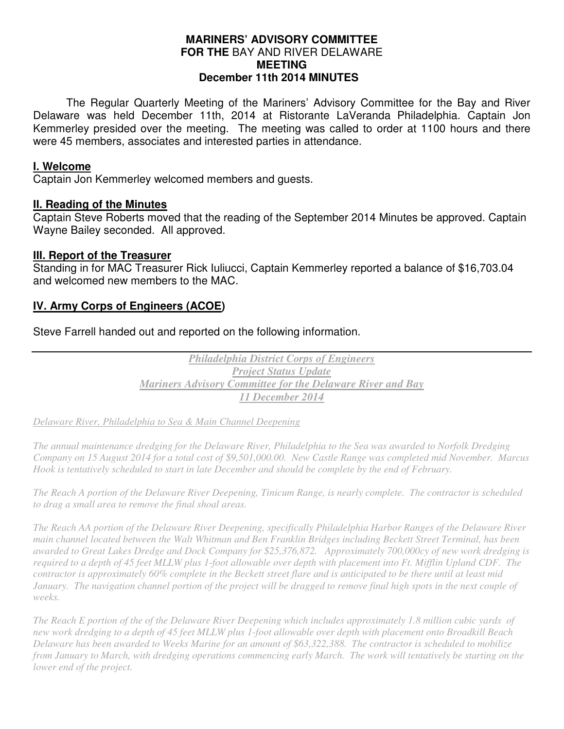## **MARINERS' ADVISORY COMMITTEE FOR THE** BAY AND RIVER DELAWARE **MEETING December 11th 2014 MINUTES**

 The Regular Quarterly Meeting of the Mariners' Advisory Committee for the Bay and River Delaware was held December 11th, 2014 at Ristorante LaVeranda Philadelphia. Captain Jon Kemmerley presided over the meeting. The meeting was called to order at 1100 hours and there were 45 members, associates and interested parties in attendance.

## **I. Welcome**

Captain Jon Kemmerley welcomed members and guests.

#### **II. Reading of the Minutes**

Captain Steve Roberts moved that the reading of the September 2014 Minutes be approved. Captain Wayne Bailey seconded. All approved.

#### **III. Report of the Treasurer**

Standing in for MAC Treasurer Rick Iuliucci, Captain Kemmerley reported a balance of \$16,703.04 and welcomed new members to the MAC.

# **IV. Army Corps of Engineers (ACOE)**

Steve Farrell handed out and reported on the following information.

*Philadelphia District Corps of Engineers Project Status Update Mariners Advisory Committee for the Delaware River and Bay 11 December 2014* 

*Delaware River, Philadelphia to Sea & Main Channel Deepening* 

*The annual maintenance dredging for the Delaware River, Philadelphia to the Sea was awarded to Norfolk Dredging Company on 15 August 2014 for a total cost of \$9,501,000.00. New Castle Range was completed mid November. Marcus Hook is tentatively scheduled to start in late December and should be complete by the end of February.* 

*The Reach A portion of the Delaware River Deepening, Tinicum Range, is nearly complete. The contractor is scheduled to drag a small area to remove the final shoal areas.* 

*The Reach AA portion of the Delaware River Deepening, specifically Philadelphia Harbor Ranges of the Delaware River main channel located between the Walt Whitman and Ben Franklin Bridges including Beckett Street Terminal, has been awarded to Great Lakes Dredge and Dock Company for \$25,376,872. Approximately 700,000cy of new work dredging is required to a depth of 45 feet MLLW plus 1-foot allowable over depth with placement into Ft. Mifflin Upland CDF. The contractor is approximately 60% complete in the Beckett street flare and is anticipated to be there until at least mid January. The navigation channel portion of the project will be dragged to remove final high spots in the next couple of weeks.* 

*The Reach E portion of the of the Delaware River Deepening which includes approximately 1.8 million cubic yards of new work dredging to a depth of 45 feet MLLW plus 1-foot allowable over depth with placement onto Broadkill Beach Delaware has been awarded to Weeks Marine for an amount of \$63,322,388. The contractor is scheduled to mobilize from January to March, with dredging operations commencing early March. The work will tentatively be starting on the lower end of the project.*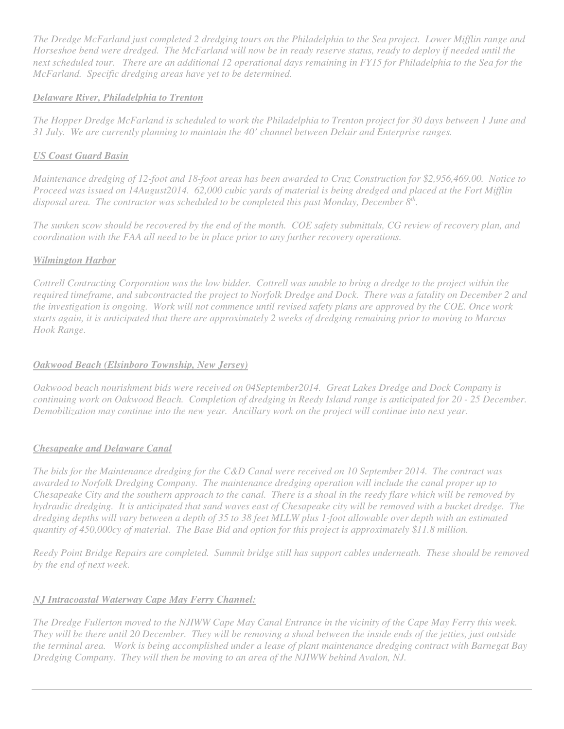*The Dredge McFarland just completed 2 dredging tours on the Philadelphia to the Sea project. Lower Mifflin range and Horseshoe bend were dredged. The McFarland will now be in ready reserve status, ready to deploy if needed until the next scheduled tour. There are an additional 12 operational days remaining in FY15 for Philadelphia to the Sea for the McFarland. Specific dredging areas have yet to be determined.* 

#### *Delaware River, Philadelphia to Trenton*

*The Hopper Dredge McFarland is scheduled to work the Philadelphia to Trenton project for 30 days between 1 June and 31 July. We are currently planning to maintain the 40' channel between Delair and Enterprise ranges.* 

#### *US Coast Guard Basin*

*Maintenance dredging of 12-foot and 18-foot areas has been awarded to Cruz Construction for \$2,956,469.00. Notice to Proceed was issued on 14August2014. 62,000 cubic yards of material is being dredged and placed at the Fort Mifflin disposal area. The contractor was scheduled to be completed this past Monday, December 8th .* 

*The sunken scow should be recovered by the end of the month. COE safety submittals, CG review of recovery plan, and coordination with the FAA all need to be in place prior to any further recovery operations.* 

#### *Wilmington Harbor*

*Cottrell Contracting Corporation was the low bidder. Cottrell was unable to bring a dredge to the project within the required timeframe, and subcontracted the project to Norfolk Dredge and Dock. There was a fatality on December 2 and the investigation is ongoing. Work will not commence until revised safety plans are approved by the COE. Once work starts again, it is anticipated that there are approximately 2 weeks of dredging remaining prior to moving to Marcus Hook Range.* 

#### *Oakwood Beach (Elsinboro Township, New Jersey)*

*Oakwood beach nourishment bids were received on 04September2014. Great Lakes Dredge and Dock Company is continuing work on Oakwood Beach. Completion of dredging in Reedy Island range is anticipated for 20 - 25 December. Demobilization may continue into the new year. Ancillary work on the project will continue into next year.* 

#### *Chesapeake and Delaware Canal*

*The bids for the Maintenance dredging for the C&D Canal were received on 10 September 2014. The contract was awarded to Norfolk Dredging Company. The maintenance dredging operation will include the canal proper up to Chesapeake City and the southern approach to the canal. There is a shoal in the reedy flare which will be removed by hydraulic dredging. It is anticipated that sand waves east of Chesapeake city will be removed with a bucket dredge. The dredging depths will vary between a depth of 35 to 38 feet MLLW plus 1-foot allowable over depth with an estimated quantity of 450,000cy of material. The Base Bid and option for this project is approximately \$11.8 million.* 

*Reedy Point Bridge Repairs are completed. Summit bridge still has support cables underneath. These should be removed by the end of next week.* 

# *NJ Intracoastal Waterway Cape May Ferry Channel:*

*The Dredge Fullerton moved to the NJIWW Cape May Canal Entrance in the vicinity of the Cape May Ferry this week. They will be there until 20 December. They will be removing a shoal between the inside ends of the jetties, just outside the terminal area. Work is being accomplished under a lease of plant maintenance dredging contract with Barnegat Bay Dredging Company. They will then be moving to an area of the NJIWW behind Avalon, NJ.*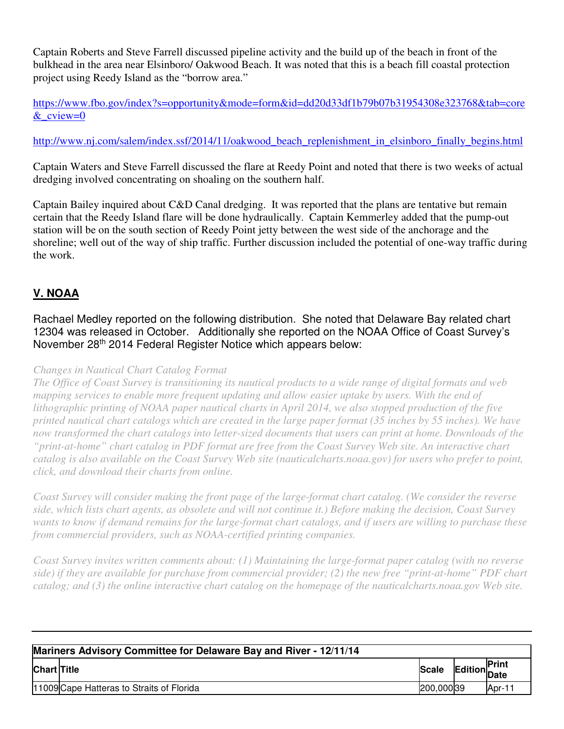Captain Roberts and Steve Farrell discussed pipeline activity and the build up of the beach in front of the bulkhead in the area near Elsinboro/ Oakwood Beach. It was noted that this is a beach fill coastal protection project using Reedy Island as the "borrow area."

https://www.fbo.gov/index?s=opportunity&mode=form&id=dd20d33df1b79b07b31954308e323768&tab=core &\_cview=0

http://www.nj.com/salem/index.ssf/2014/11/oakwood\_beach\_replenishment\_in\_elsinboro\_finally\_begins.html

Captain Waters and Steve Farrell discussed the flare at Reedy Point and noted that there is two weeks of actual dredging involved concentrating on shoaling on the southern half.

Captain Bailey inquired about C&D Canal dredging. It was reported that the plans are tentative but remain certain that the Reedy Island flare will be done hydraulically. Captain Kemmerley added that the pump-out station will be on the south section of Reedy Point jetty between the west side of the anchorage and the shoreline; well out of the way of ship traffic. Further discussion included the potential of one-way traffic during the work.

# **V. NOAA**

Rachael Medley reported on the following distribution. She noted that Delaware Bay related chart 12304 was released in October. Additionally she reported on the NOAA Office of Coast Survey's November 28th 2014 Federal Register Notice which appears below:

# *Changes in Nautical Chart Catalog Format*

*The Office of Coast Survey is transitioning its nautical products to a wide range of digital formats and web mapping services to enable more frequent updating and allow easier uptake by users. With the end of lithographic printing of NOAA paper nautical charts in April 2014, we also stopped production of the five printed nautical chart catalogs which are created in the large paper format (35 inches by 55 inches). We have now transformed the chart catalogs into letter-sized documents that users can print at home. Downloads of the "print-at-home" chart catalog in PDF format are free from the Coast Survey Web site. An interactive chart catalog is also available on the Coast Survey Web site (nauticalcharts.noaa.gov) for users who prefer to point, click, and download their charts from online.* 

*Coast Survey will consider making the front page of the large-format chart catalog. (We consider the reverse side, which lists chart agents, as obsolete and will not continue it.) Before making the decision, Coast Survey wants to know if demand remains for the large-format chart catalogs, and if users are willing to purchase these from commercial providers, such as NOAA-certified printing companies.* 

*Coast Survey invites written comments about: (1) Maintaining the large-format paper catalog (with no reverse side) if they are available for purchase from commercial provider; (2) the new free "print-at-home" PDF chart catalog; and (3) the online interactive chart catalog on the homepage of the nauticalcharts.noaa.gov Web site.* 

| Mariners Advisory Committee for Delaware Bay and River - 12/11/14 |                                           |              |                      |                       |  |  |
|-------------------------------------------------------------------|-------------------------------------------|--------------|----------------------|-----------------------|--|--|
| <b>Chart Title</b>                                                |                                           | <b>Scale</b> | Edition <sup>"</sup> | <b>IPrint</b><br>Date |  |  |
|                                                                   | 11009 Cape Hatteras to Straits of Florida | 200,000 39   |                      | Apr-1                 |  |  |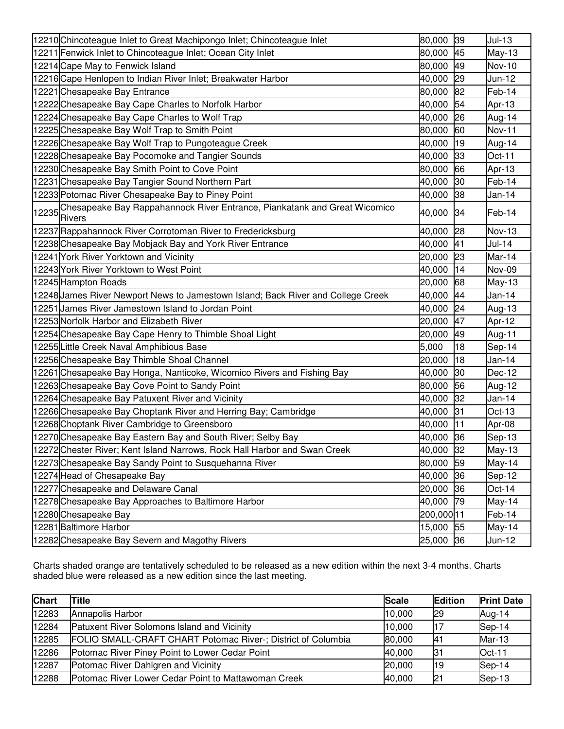| 12210 Chincoteague Inlet to Great Machipongo Inlet; Chincoteague Inlet                    | 39<br>80,000 | $Jul-13$      |
|-------------------------------------------------------------------------------------------|--------------|---------------|
| 12211 Fenwick Inlet to Chincoteague Inlet; Ocean City Inlet                               | 45<br>80,000 | $May-13$      |
| 12214 Cape May to Fenwick Island                                                          | 49<br>80,000 | <b>Nov-10</b> |
| 12216 Cape Henlopen to Indian River Inlet; Breakwater Harbor                              | 29<br>40,000 | Jun-12        |
| 12221 Chesapeake Bay Entrance                                                             | 82<br>80,000 | Feb-14        |
| 12222 Chesapeake Bay Cape Charles to Norfolk Harbor                                       | 54<br>40,000 | Apr-13        |
| 12224 Chesapeake Bay Cape Charles to Wolf Trap                                            | 40,000<br>26 | Aug-14        |
| 12225 Chesapeake Bay Wolf Trap to Smith Point                                             | 60<br>80,000 | Nov-11        |
| 12226 Chesapeake Bay Wolf Trap to Pungoteague Creek                                       | 19<br>40,000 | Aug-14        |
| 12228 Chesapeake Bay Pocomoke and Tangier Sounds                                          | 33<br>40,000 | Oct-11        |
| 12230 Chesapeake Bay Smith Point to Cove Point                                            | 80,000<br>66 | Apr-13        |
| 12231 Chesapeake Bay Tangier Sound Northern Part                                          | 30<br>40,000 | Feb-14        |
| 12233 Potomac River Chesapeake Bay to Piney Point                                         | 38<br>40,000 | Jan-14        |
| 12235 Chesapeake Bay Rappahannock River Entrance, Piankatank and Great Wicomico<br>Rivers | 34<br>40,000 | Feb-14        |
| 12237 Rappahannock River Corrotoman River to Fredericksburg                               | 28<br>40,000 | Nov-13        |
| 12238 Chesapeake Bay Mobjack Bay and York River Entrance                                  | 40,000<br>41 | Jul-14        |
| 12241 York River Yorktown and Vicinity                                                    | 23<br>20,000 | Mar-14        |
| 12243 York River Yorktown to West Point                                                   | 14<br>40,000 | Nov-09        |
| 12245 Hampton Roads                                                                       | 68<br>20,000 | $May-13$      |
| 12248 James River Newport News to Jamestown Island; Back River and College Creek          | 40,000<br>44 | Jan-14        |
| 12251 James River Jamestown Island to Jordan Point                                        | 24<br>40,000 | Aug-13        |
| 12253 Norfolk Harbor and Elizabeth River                                                  | 47<br>20,000 | Apr-12        |
| 12254 Chesapeake Bay Cape Henry to Thimble Shoal Light                                    | 49<br>20,000 | Aug-11        |
| 12255 Little Creek Naval Amphibious Base                                                  | 18<br>5,000  | Sep-14        |
| 12256 Chesapeake Bay Thimble Shoal Channel                                                | 18<br>20,000 | Jan-14        |
| 12261 Chesapeake Bay Honga, Nanticoke, Wicomico Rivers and Fishing Bay                    | 30<br>40,000 | Dec-12        |
| 12263 Chesapeake Bay Cove Point to Sandy Point                                            | 56<br>80,000 | Aug-12        |
| 12264 Chesapeake Bay Patuxent River and Vicinity                                          | 32<br>40,000 | Jan-14        |
| 12266 Chesapeake Bay Choptank River and Herring Bay; Cambridge                            | 31<br>40,000 | $Oct-13$      |
| 12268 Choptank River Cambridge to Greensboro                                              | 11<br>40,000 | Apr-08        |
| 12270 Chesapeake Bay Eastern Bay and South River; Selby Bay                               | 40,000<br>36 | Sep-13        |
| 12272 Chester River; Kent Island Narrows, Rock Hall Harbor and Swan Creek                 | 40,000<br>32 | May-13        |
| 12273 Chesapeake Bay Sandy Point to Susquehanna River                                     | 59<br>80,000 | May-14        |
| 12274 Head of Chesapeake Bay                                                              | 40,000<br>36 | Sep-12        |
| 12277 Chesapeake and Delaware Canal                                                       | 20,000<br>36 | $Oct-14$      |
| 12278 Chesapeake Bay Approaches to Baltimore Harbor                                       | 40,000<br>79 | May-14        |
| 12280 Chesapeake Bay                                                                      | 200,000 11   | Feb-14        |
| 12281 Baltimore Harbor                                                                    | 15,000<br>55 | May-14        |
| 12282 Chesapeake Bay Severn and Magothy Rivers                                            | 25,000 36    | Jun-12        |

Charts shaded orange are tentatively scheduled to be released as a new edition within the next 3-4 months. Charts shaded blue were released as a new edition since the last meeting.

| <b>Chart</b> | <b>Title</b>                                                 | <b>Scale</b> | <b>Edition</b> | <b>Print Date</b> |
|--------------|--------------------------------------------------------------|--------------|----------------|-------------------|
| 12283        | Annapolis Harbor                                             | 10,000       | <b>29</b>      | Aug-14            |
| 12284        | <b>Patuxent River Solomons Island and Vicinity</b>           | 10,000       | l17            | Sep-14            |
| 12285        | FOLIO SMALL-CRAFT CHART Potomac River-; District of Columbia | 80,000       | <b>I41</b>     | $Mar-13$          |
| 12286        | Potomac River Piney Point to Lower Cedar Point               | 40,000       | 31             | $Oct-11$          |
| 12287        | Potomac River Dahlgren and Vicinity                          | 20,000       | <b>19</b>      | Sep-14            |
| 12288        | Potomac River Lower Cedar Point to Mattawoman Creek          | 40,000       | 21             | Sep-13            |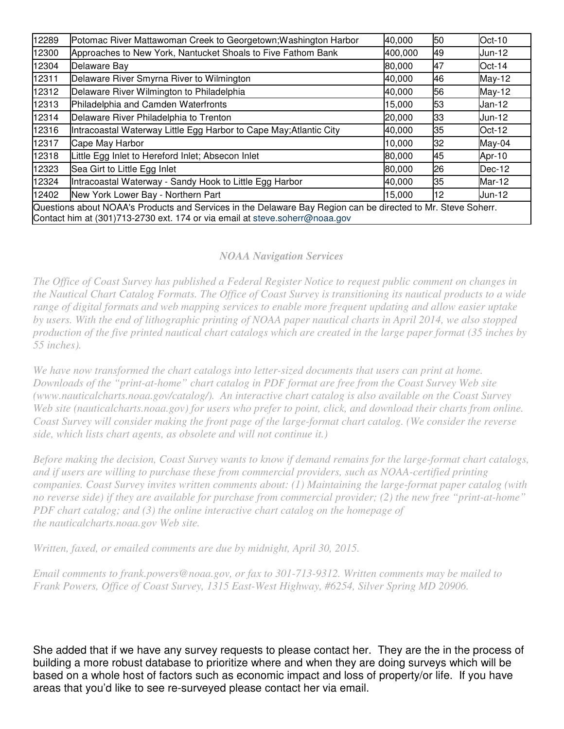| 12289                                                                                                                                                                                       | Potomac River Mattawoman Creek to Georgetown; Washington Harbor    | 40,000  | 50 | Oct-10 |  |
|---------------------------------------------------------------------------------------------------------------------------------------------------------------------------------------------|--------------------------------------------------------------------|---------|----|--------|--|
| 12300                                                                                                                                                                                       | Approaches to New York, Nantucket Shoals to Five Fathom Bank       | 400,000 | 49 | Jun-12 |  |
| 12304                                                                                                                                                                                       | Delaware Bay                                                       | 80,000  | 47 | Oct-14 |  |
| 12311                                                                                                                                                                                       | Delaware River Smyrna River to Wilmington                          | 40,000  | 46 | May-12 |  |
| 12312                                                                                                                                                                                       | Delaware River Wilmington to Philadelphia                          | 40,000  | 56 | May-12 |  |
| 12313                                                                                                                                                                                       | Philadelphia and Camden Waterfronts                                | 15,000  | 53 | Jan-12 |  |
| 12314                                                                                                                                                                                       | Delaware River Philadelphia to Trenton                             | 20,000  | 33 | Jun-12 |  |
| 12316                                                                                                                                                                                       | Intracoastal Waterway Little Egg Harbor to Cape May; Atlantic City | 40,000  | 35 | Oct-12 |  |
| 12317                                                                                                                                                                                       | Cape May Harbor                                                    | 10,000  | 32 | May-04 |  |
| 12318                                                                                                                                                                                       | Little Egg Inlet to Hereford Inlet; Absecon Inlet                  | 80,000  | 45 | Apr-10 |  |
| 12323                                                                                                                                                                                       | Sea Girt to Little Egg Inlet                                       | 80,000  | 26 | Dec-12 |  |
| 12324                                                                                                                                                                                       | Intracoastal Waterway - Sandy Hook to Little Egg Harbor            | 40,000  | 35 | Mar-12 |  |
| 12402                                                                                                                                                                                       | New York Lower Bay - Northern Part                                 | 15,000  | 12 | Jun-12 |  |
| Questions about NOAA's Products and Services in the Delaware Bay Region can be directed to Mr. Steve Soherr.<br>Contact him at (301)713-2730 ext. 174 or via email at steve soherr@noaa.gov |                                                                    |         |    |        |  |

# *NOAA Navigation Services*

*The Office of Coast Survey has published a Federal Register Notice to request public comment on changes in the Nautical Chart Catalog Formats. The Office of Coast Survey is transitioning its nautical products to a wide range of digital formats and web mapping services to enable more frequent updating and allow easier uptake by users. With the end of lithographic printing of NOAA paper nautical charts in April 2014, we also stopped production of the five printed nautical chart catalogs which are created in the large paper format (35 inches by 55 inches).* 

*We have now transformed the chart catalogs into letter-sized documents that users can print at home. Downloads of the "print-at-home" chart catalog in PDF format are free from the Coast Survey Web site (www.nauticalcharts.noaa.gov/catalog/). An interactive chart catalog is also available on the Coast Survey Web site (nauticalcharts.noaa.gov) for users who prefer to point, click, and download their charts from online. Coast Survey will consider making the front page of the large-format chart catalog. (We consider the reverse side, which lists chart agents, as obsolete and will not continue it.)* 

*Before making the decision, Coast Survey wants to know if demand remains for the large-format chart catalogs, and if users are willing to purchase these from commercial providers, such as NOAA-certified printing companies. Coast Survey invites written comments about: (1) Maintaining the large-format paper catalog (with no reverse side) if they are available for purchase from commercial provider; (2) the new free "print-at-home" PDF chart catalog; and (3) the online interactive chart catalog on the homepage of the nauticalcharts.noaa.gov Web site.* 

*Written, faxed, or emailed comments are due by midnight, April 30, 2015.* 

*Email comments to frank.powers@noaa.gov, or fax to 301-713-9312. Written comments may be mailed to Frank Powers, Office of Coast Survey, 1315 East-West Highway, #6254, Silver Spring MD 20906.* 

She added that if we have any survey requests to please contact her. They are the in the process of building a more robust database to prioritize where and when they are doing surveys which will be based on a whole host of factors such as economic impact and loss of property/or life. If you have areas that you'd like to see re-surveyed please contact her via email.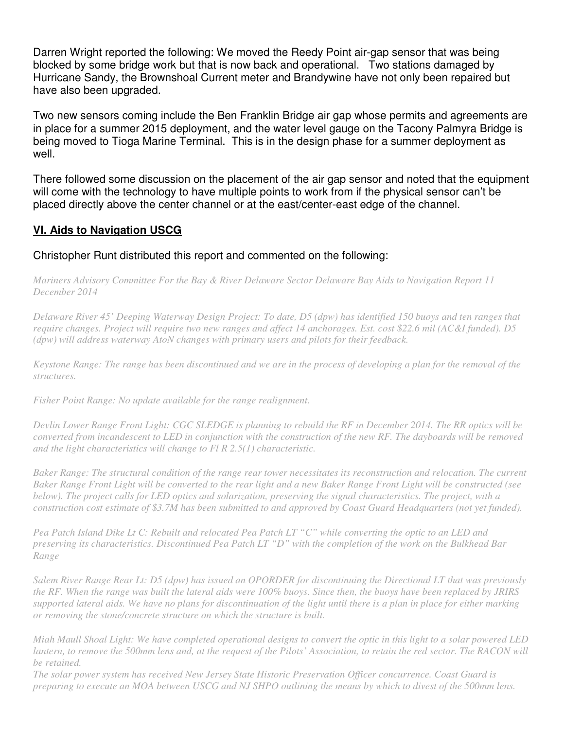Darren Wright reported the following: We moved the Reedy Point air-gap sensor that was being blocked by some bridge work but that is now back and operational. Two stations damaged by Hurricane Sandy, the Brownshoal Current meter and Brandywine have not only been repaired but have also been upgraded.

Two new sensors coming include the Ben Franklin Bridge air gap whose permits and agreements are in place for a summer 2015 deployment, and the water level gauge on the Tacony Palmyra Bridge is being moved to Tioga Marine Terminal. This is in the design phase for a summer deployment as well.

There followed some discussion on the placement of the air gap sensor and noted that the equipment will come with the technology to have multiple points to work from if the physical sensor can't be placed directly above the center channel or at the east/center-east edge of the channel.

# **VI. Aids to Navigation USCG**

# Christopher Runt distributed this report and commented on the following:

*Mariners Advisory Committee For the Bay & River Delaware Sector Delaware Bay Aids to Navigation Report 11 December 2014* 

*Delaware River 45' Deeping Waterway Design Project: To date, D5 (dpw) has identified 150 buoys and ten ranges that require changes. Project will require two new ranges and affect 14 anchorages. Est. cost \$22.6 mil (AC&I funded). D5 (dpw) will address waterway AtoN changes with primary users and pilots for their feedback.* 

*Keystone Range: The range has been discontinued and we are in the process of developing a plan for the removal of the structures.* 

*Fisher Point Range: No update available for the range realignment.* 

*Devlin Lower Range Front Light: CGC SLEDGE is planning to rebuild the RF in December 2014. The RR optics will be converted from incandescent to LED in conjunction with the construction of the new RF. The dayboards will be removed and the light characteristics will change to Fl R 2.5(1) characteristic.* 

*Baker Range: The structural condition of the range rear tower necessitates its reconstruction and relocation. The current Baker Range Front Light will be converted to the rear light and a new Baker Range Front Light will be constructed (see below). The project calls for LED optics and solarization, preserving the signal characteristics. The project, with a construction cost estimate of \$3.7M has been submitted to and approved by Coast Guard Headquarters (not yet funded).* 

*Pea Patch Island Dike Lt C: Rebuilt and relocated Pea Patch LT "C" while converting the optic to an LED and preserving its characteristics. Discontinued Pea Patch LT "D" with the completion of the work on the Bulkhead Bar Range* 

*Salem River Range Rear Lt: D5 (dpw) has issued an OPORDER for discontinuing the Directional LT that was previously the RF. When the range was built the lateral aids were 100% buoys. Since then, the buoys have been replaced by JRIRS supported lateral aids. We have no plans for discontinuation of the light until there is a plan in place for either marking or removing the stone/concrete structure on which the structure is built.* 

*Miah Maull Shoal Light: We have completed operational designs to convert the optic in this light to a solar powered LED lantern, to remove the 500mm lens and, at the request of the Pilots' Association, to retain the red sector. The RACON will be retained.* 

*The solar power system has received New Jersey State Historic Preservation Officer concurrence. Coast Guard is preparing to execute an MOA between USCG and NJ SHPO outlining the means by which to divest of the 500mm lens.*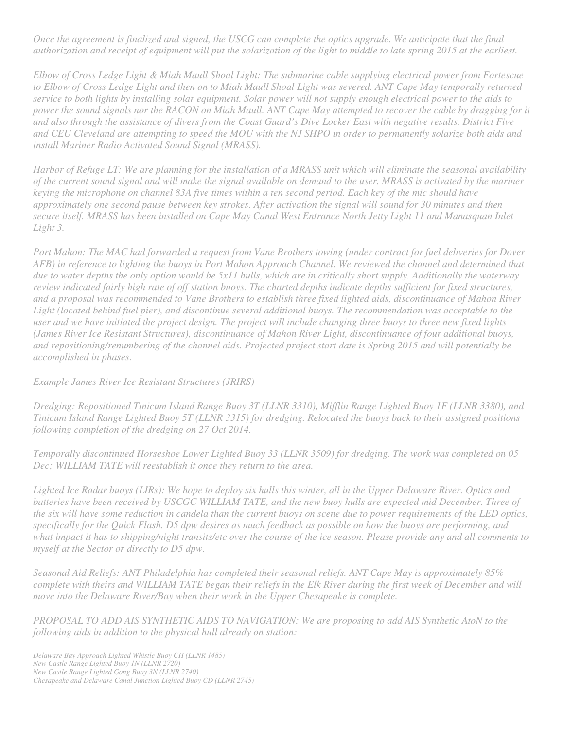*Once the agreement is finalized and signed, the USCG can complete the optics upgrade. We anticipate that the final authorization and receipt of equipment will put the solarization of the light to middle to late spring 2015 at the earliest.* 

*Elbow of Cross Ledge Light & Miah Maull Shoal Light: The submarine cable supplying electrical power from Fortescue*  to Elbow of Cross Ledge Light and then on to Miah Maull Shoal Light was severed. ANT Cape May temporally returned *service to both lights by installing solar equipment. Solar power will not supply enough electrical power to the aids to power the sound signals nor the RACON on Miah Maull. ANT Cape May attempted to recover the cable by dragging for it and also through the assistance of divers from the Coast Guard's Dive Locker East with negative results. District Five and CEU Cleveland are attempting to speed the MOU with the NJ SHPO in order to permanently solarize both aids and install Mariner Radio Activated Sound Signal (MRASS).* 

*Harbor of Refuge LT: We are planning for the installation of a MRASS unit which will eliminate the seasonal availability of the current sound signal and will make the signal available on demand to the user. MRASS is activated by the mariner keying the microphone on channel 83A five times within a ten second period. Each key of the mic should have approximately one second pause between key strokes. After activation the signal will sound for 30 minutes and then secure itself. MRASS has been installed on Cape May Canal West Entrance North Jetty Light 11 and Manasquan Inlet Light 3.* 

*Port Mahon: The MAC had forwarded a request from Vane Brothers towing (under contract for fuel deliveries for Dover AFB) in reference to lighting the buoys in Port Mahon Approach Channel. We reviewed the channel and determined that due to water depths the only option would be 5x11 hulls, which are in critically short supply. Additionally the waterway review indicated fairly high rate of off station buoys. The charted depths indicate depths sufficient for fixed structures, and a proposal was recommended to Vane Brothers to establish three fixed lighted aids, discontinuance of Mahon River*  Light (located behind fuel pier), and discontinue several additional buoys. The recommendation was acceptable to the *user and we have initiated the project design. The project will include changing three buoys to three new fixed lights (James River Ice Resistant Structures), discontinuance of Mahon River Light, discontinuance of four additional buoys, and repositioning/renumbering of the channel aids. Projected project start date is Spring 2015 and will potentially be accomplished in phases.* 

#### *Example James River Ice Resistant Structures (JRIRS)*

*Dredging: Repositioned Tinicum Island Range Buoy 3T (LLNR 3310), Mifflin Range Lighted Buoy 1F (LLNR 3380), and Tinicum Island Range Lighted Buoy 5T (LLNR 3315) for dredging. Relocated the buoys back to their assigned positions following completion of the dredging on 27 Oct 2014.* 

*Temporally discontinued Horseshoe Lower Lighted Buoy 33 (LLNR 3509) for dredging. The work was completed on 05 Dec; WILLIAM TATE will reestablish it once they return to the area.* 

*Lighted Ice Radar buoys (LIRs): We hope to deploy six hulls this winter, all in the Upper Delaware River. Optics and batteries have been received by USCGC WILLIAM TATE, and the new buoy hulls are expected mid December. Three of the six will have some reduction in candela than the current buoys on scene due to power requirements of the LED optics, specifically for the Quick Flash. D5 dpw desires as much feedback as possible on how the buoys are performing, and what impact it has to shipping/night transits/etc over the course of the ice season. Please provide any and all comments to myself at the Sector or directly to D5 dpw.* 

*Seasonal Aid Reliefs: ANT Philadelphia has completed their seasonal reliefs. ANT Cape May is approximately 85% complete with theirs and WILLIAM TATE began their reliefs in the Elk River during the first week of December and will move into the Delaware River/Bay when their work in the Upper Chesapeake is complete.* 

*PROPOSAL TO ADD AIS SYNTHETIC AIDS TO NAVIGATION: We are proposing to add AIS Synthetic AtoN to the following aids in addition to the physical hull already on station:*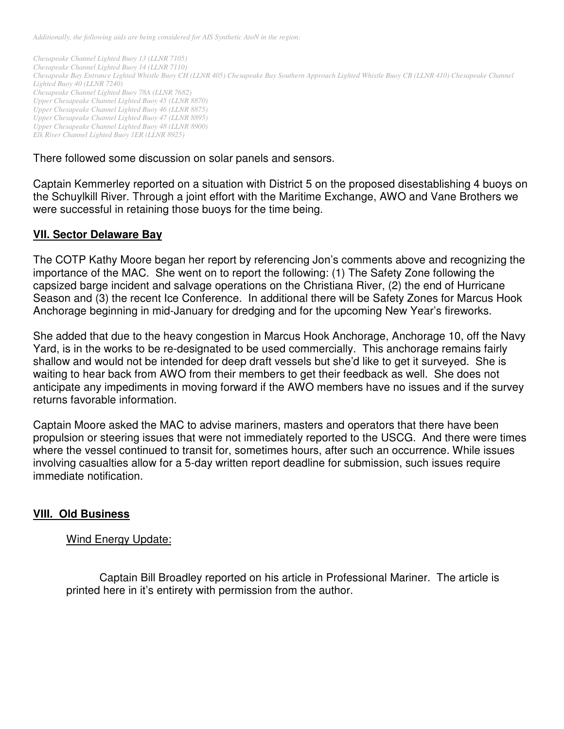*Additionally, the following aids are being considered for AIS Synthetic AtoN in the region:* 

*Chesapeake Channel Lighted Buoy 13 (LLNR 7105) Chesapeake Channel Lighted Buoy 14 (LLNR 7110) Chesapeake Bay Entrance Lighted Whistle Buoy CH (LLNR 405) Chesapeake Bay Southern Approach Lighted Whistle Buoy CB (LLNR 410) Chesapeake Channel Lighted Buoy 40 (LLNR 7240) Chesapeake Channel Lighted Buoy 78A (LLNR 7682) Upper Chesapeake Channel Lighted Buoy 45 (LLNR 8870) Upper Chesapeake Channel Lighted Buoy 46 (LLNR 8875) Upper Chesapeake Channel Lighted Buoy 47 (LLNR 8895) Upper Chesapeake Channel Lighted Buoy 48 (LLNR 8900) Elk River Channel Lighted Buoy 1ER (LLNR 8925)* 

There followed some discussion on solar panels and sensors.

Captain Kemmerley reported on a situation with District 5 on the proposed disestablishing 4 buoys on the Schuylkill River. Through a joint effort with the Maritime Exchange, AWO and Vane Brothers we were successful in retaining those buoys for the time being.

# **VII. Sector Delaware Bay**

The COTP Kathy Moore began her report by referencing Jon's comments above and recognizing the importance of the MAC. She went on to report the following: (1) The Safety Zone following the capsized barge incident and salvage operations on the Christiana River, (2) the end of Hurricane Season and (3) the recent Ice Conference. In additional there will be Safety Zones for Marcus Hook Anchorage beginning in mid-January for dredging and for the upcoming New Year's fireworks.

She added that due to the heavy congestion in Marcus Hook Anchorage, Anchorage 10, off the Navy Yard, is in the works to be re-designated to be used commercially. This anchorage remains fairly shallow and would not be intended for deep draft vessels but she'd like to get it surveyed. She is waiting to hear back from AWO from their members to get their feedback as well. She does not anticipate any impediments in moving forward if the AWO members have no issues and if the survey returns favorable information.

Captain Moore asked the MAC to advise mariners, masters and operators that there have been propulsion or steering issues that were not immediately reported to the USCG. And there were times where the vessel continued to transit for, sometimes hours, after such an occurrence. While issues involving casualties allow for a 5-day written report deadline for submission, such issues require immediate notification.

# **VIII. Old Business**

# Wind Energy Update:

Captain Bill Broadley reported on his article in Professional Mariner. The article is printed here in it's entirety with permission from the author.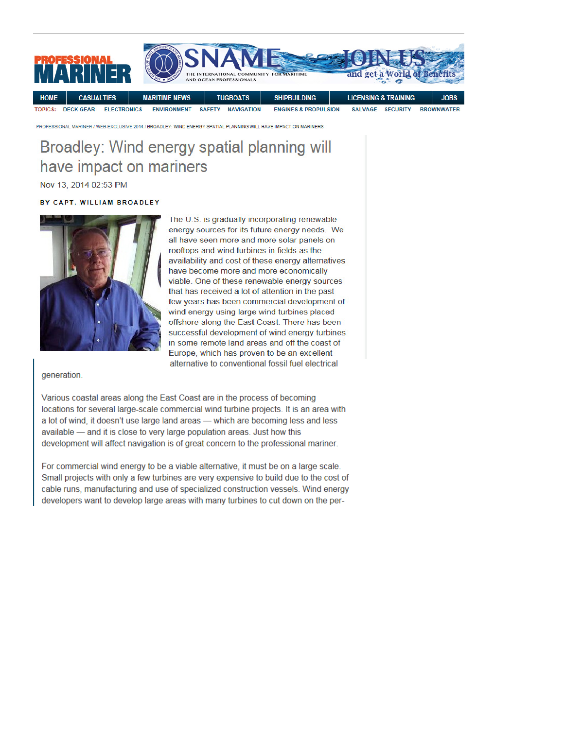

PROFESSIONAL MARINER / WEB-EXCLUSIVE 2014 / BROADLEY: WIND ENERGY SPATIAL PLANNING WILL HAVE IMPACT ON MARINERS

# Broadley: Wind energy spatial planning will have impact on mariners

Nov 13, 2014 02:53 PM

#### BY CAPT. WILLIAM BROADLEY



The U.S. is gradually incorporating renewable energy sources for its future energy needs. We all have seen more and more solar panels on rooftops and wind turbines in fields as the availability and cost of these energy alternatives have become more and more economically viable. One of these renewable energy sources that has received a lot of attention in the past few years has been commercial development of wind energy using large wind turbines placed offshore along the East Coast. There has been successful development of wind energy turbines in some remote land areas and off the coast of Europe, which has proven to be an excellent alternative to conventional fossil fuel electrical

#### generation.

Various coastal areas along the East Coast are in the process of becoming locations for several large-scale commercial wind turbine projects. It is an area with a lot of wind, it doesn't use large land areas - which are becoming less and less available - and it is close to very large population areas. Just how this development will affect navigation is of great concern to the professional mariner.

For commercial wind energy to be a viable alternative, it must be on a large scale. Small projects with only a few turbines are very expensive to build due to the cost of cable runs, manufacturing and use of specialized construction vessels. Wind energy developers want to develop large areas with many turbines to cut down on the per-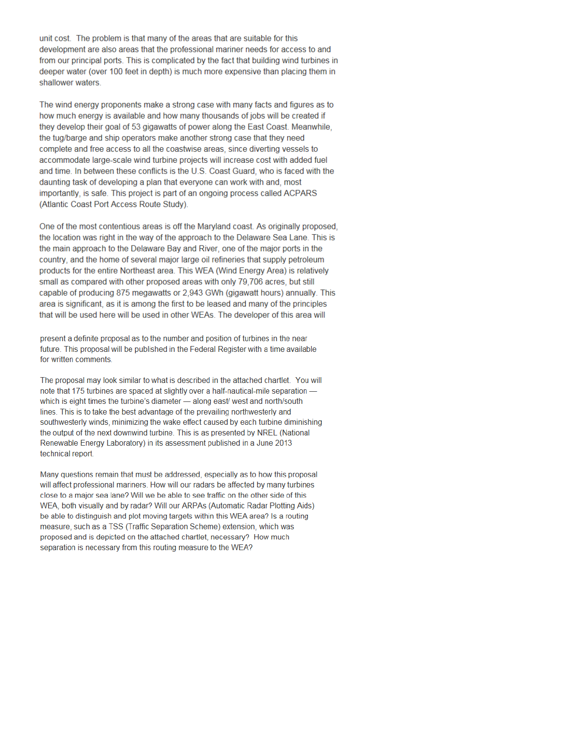unit cost. The problem is that many of the areas that are suitable for this development are also areas that the professional mariner needs for access to and from our principal ports. This is complicated by the fact that building wind turbines in deeper water (over 100 feet in depth) is much more expensive than placing them in shallower waters.

The wind energy proponents make a strong case with many facts and figures as to how much energy is available and how many thousands of jobs will be created if they develop their goal of 53 gigawatts of power along the East Coast. Meanwhile, the tug/barge and ship operators make another strong case that they need complete and free access to all the coastwise areas, since diverting vessels to accommodate large-scale wind turbine projects will increase cost with added fuel and time. In between these conflicts is the U.S. Coast Guard, who is faced with the daunting task of developing a plan that everyone can work with and, most importantly, is safe. This project is part of an ongoing process called ACPARS (Atlantic Coast Port Access Route Study).

One of the most contentious areas is off the Maryland coast. As originally proposed. the location was right in the way of the approach to the Delaware Sea Lane. This is the main approach to the Delaware Bay and River, one of the major ports in the country, and the home of several major large oil refineries that supply petroleum products for the entire Northeast area. This WEA (Wind Energy Area) is relatively small as compared with other proposed areas with only 79,706 acres, but still capable of producing 875 megawatts or 2,943 GWh (gigawatt hours) annually. This area is significant, as it is among the first to be leased and many of the principles that will be used here will be used in other WEAs. The developer of this area will

present a definite proposal as to the number and position of turbines in the near future. This proposal will be published in the Federal Register with a time available for written comments.

The proposal may look similar to what is described in the attached chartlet. You will note that 175 turbines are spaced at slightly over a half-nautical-mile separation which is eight times the turbine's diameter - along east/ west and north/south lines. This is to take the best advantage of the prevailing northwesterly and southwesterly winds, minimizing the wake effect caused by each turbine diminishing the output of the next downwind turbine. This is as presented by NREL (National Renewable Energy Laboratory) in its assessment published in a June 2013 technical report.

Many questions remain that must be addressed, especially as to how this proposal will affect professional mariners. How will our radars be affected by many turbines close to a major sea lane? Will we be able to see traffic on the other side of this WEA, both visually and by radar? Will our ARPAs (Automatic Radar Plotting Aids) be able to distinguish and plot moving targets within this WEA area? Is a routing measure, such as a TSS (Traffic Separation Scheme) extension, which was proposed and is depicted on the attached chartlet, necessary? How much separation is necessary from this routing measure to the WEA?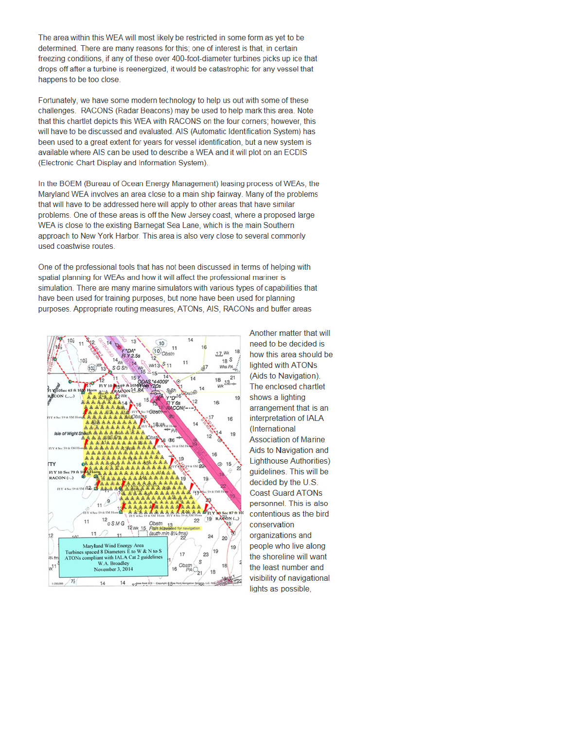The area within this WEA will most likely be restricted in some form as yet to be determined. There are many reasons for this; one of interest is that, in certain freezing conditions, if any of these over 400-foot-diameter turbines picks up ice that drops off after a turbine is reenergized, it would be catastrophic for any vessel that happens to be too close.

Fortunately, we have some modern technology to help us out with some of these challenges. RACONS (Radar Beacons) may be used to help mark this area. Note that this chartlet depicts this WEA with RACONS on the four corners; however, this will have to be discussed and evaluated. AIS (Automatic Identification System) has been used to a great extent for years for vessel identification, but a new system is available where AIS can be used to describe a WEA and it will plot on an ECDIS (Electronic Chart Display and Information System).

In the BOEM (Bureau of Ocean Energy Management) leasing process of WEAs, the Maryland WEA involves an area close to a main ship fairway. Many of the problems that will have to be addressed here will apply to other areas that have similar problems. One of these areas is off the New Jersey coast, where a proposed large WEA is close to the existing Barnegat Sea Lane, which is the main Southern approach to New York Harbor. This area is also very close to several commonly used coastwise routes.

One of the professional tools that has not been discussed in terms of helping with spatial planning for WEAs and how it will affect the professional mariner is simulation. There are many marine simulators with various types of capabilities that have been used for training purposes, but none have been used for planning purposes. Appropriate routing measures, ATONs, AIS, RACONs and buffer areas



Another matter that will need to be decided is how this area should be lighted with ATONs (Aids to Navigation). The enclosed chartlet shows a lighting arrangement that is an interpretation of IALA (International **Association of Marine** Aids to Navigation and **Lighthouse Authorities)** quidelines. This will be decided by the U.S. **Coast Guard ATONs** personnel. This is also contentious as the bird conservation organizations and people who live along the shoreline will want the least number and visibility of navigational lights as possible,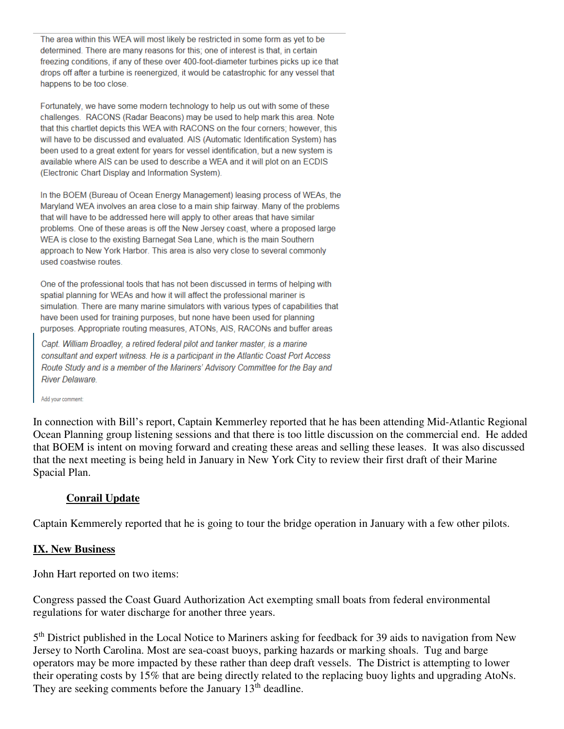The area within this WEA will most likely be restricted in some form as yet to be determined. There are many reasons for this; one of interest is that, in certain freezing conditions, if any of these over 400-foot-diameter turbines picks up ice that drops off after a turbine is reenergized, it would be catastrophic for any vessel that happens to be too close.

Fortunately, we have some modern technology to help us out with some of these challenges. RACONS (Radar Beacons) may be used to help mark this area. Note that this chartlet depicts this WEA with RACONS on the four corners; however, this will have to be discussed and evaluated. AIS (Automatic Identification System) has been used to a great extent for years for vessel identification, but a new system is available where AIS can be used to describe a WEA and it will plot on an ECDIS (Electronic Chart Display and Information System).

In the BOEM (Bureau of Ocean Energy Management) leasing process of WEAs, the Maryland WEA involves an area close to a main ship fairway. Many of the problems that will have to be addressed here will apply to other areas that have similar problems. One of these areas is off the New Jersey coast, where a proposed large WEA is close to the existing Barnegat Sea Lane, which is the main Southern approach to New York Harbor. This area is also very close to several commonly used coastwise routes.

One of the professional tools that has not been discussed in terms of helping with spatial planning for WEAs and how it will affect the professional mariner is simulation. There are many marine simulators with various types of capabilities that have been used for training purposes, but none have been used for planning purposes. Appropriate routing measures, ATONs, AIS, RACONs and buffer areas

Capt. William Broadley, a retired federal pilot and tanker master, is a marine consultant and expert witness. He is a participant in the Atlantic Coast Port Access Route Study and is a member of the Mariners' Advisory Committee for the Bay and River Delaware.

#### Add your comment:

In connection with Bill's report, Captain Kemmerley reported that he has been attending Mid-Atlantic Regional Ocean Planning group listening sessions and that there is too little discussion on the commercial end. He added that BOEM is intent on moving forward and creating these areas and selling these leases. It was also discussed that the next meeting is being held in January in New York City to review their first draft of their Marine Spacial Plan.

#### **Conrail Update**

Captain Kemmerely reported that he is going to tour the bridge operation in January with a few other pilots.

#### **IX. New Business**

John Hart reported on two items:

Congress passed the Coast Guard Authorization Act exempting small boats from federal environmental regulations for water discharge for another three years.

5<sup>th</sup> District published in the Local Notice to Mariners asking for feedback for 39 aids to navigation from New Jersey to North Carolina. Most are sea-coast buoys, parking hazards or marking shoals. Tug and barge operators may be more impacted by these rather than deep draft vessels. The District is attempting to lower their operating costs by 15% that are being directly related to the replacing buoy lights and upgrading AtoNs. They are seeking comments before the January 13<sup>th</sup> deadline.